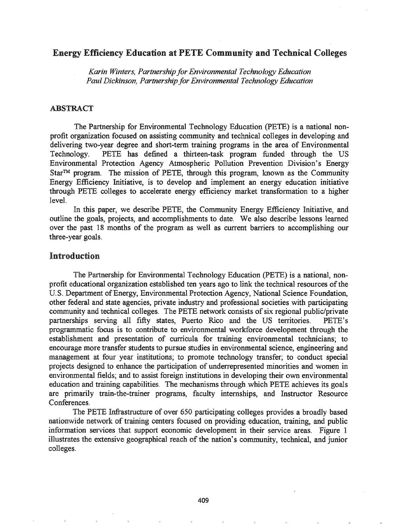# Energy Efficiency Education at PETE Community and Technical Colleges

*Karin Winters, Partnership for Environmental Technology Education Paul Dickinson, Partnershipfor Environmental Technology Education*

### ABSTRACT

The Partnership for Environmental Technology Education (PETE) is a national nonprofit organization focused on assisting community and technical colleges in developing and delivering two-year degree and short-term training programs in the area of Environmental Technology. PETE has defined a thirteen-task program funded through the US Environmental Protection Agency Atmospheric Pollution Prevention Division's Energy  $Star^{TM}$  program. The mission of PETE, through this program, known as the Community Energy Efficiency Initiative, is to develop and implement an energy education initiative through PETE colleges to accelerate energy efficiency market transformation to a higher level.

In this paper, we describe PETE, the Community Energy Efficiency Initiative, and outline the goals, projects, and accomplishments to date. We also describe lessons learned over the past 18 months of the program as well as current barriers to accomplishing our three-year goals.

# Introduction

The Partnership for Environmental Technology Education (PETE) is a national, nonprofit educational organization established ten years ago to link the technical resources of the U.S. Department of Energy, Environmental Protection Agency, National Science Foundation, other federal and state agencies, private industry and professional societies with participating community and technical colleges. The PETE network consists of six regional public/private partnerships serving all fifty states, Puerto Rico and the US territories. PETE's programmatic focus is to contribute to environmental workforce development through the establishment and presentation of curricula for training environmental technicians; to encourage more transfer students to pursue studies in environmental science, engineering and management at four year institutions; to promote technology transfer; to conduct special projects designed to enhance the participation of underrepresented minorities and women in environmental fields; and to assist foreign institutions in developing their own environmental education and training capabilities. The mechanisms through which PETE achieves its goals are primarily train-the-trainer programs, faculty internships, and Instructor Resource Conferences.

The PETE Infrastructure of over 650 participating colleges provides a broadly based nationwide network of training centers focused on providing education, training, and public information services that support economic development in their service areas. Figure 1 illustrates the extensive geographical reach of the nation's community, technical, and junior colleges.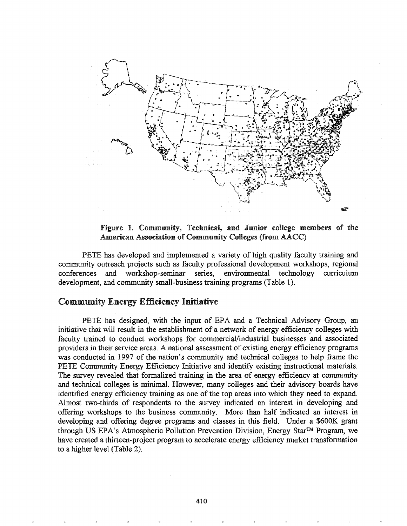

Figure 1. Community, Technical, and Junior college members of the American Association of Community Colleges (from AACC)

PETE has developed and implemented a variety of high quality faculty training and community outreach projects such as faculty professional development workshops, regional conferences and workshop-seminar series, environmental technology curriculum development, and community small-business training programs (Table 1).

# Community Energy Efficiency Initiative

PETE has designed, with the input of EPA and a Technical Advisory Group, an initiative that will result in the establishment of a network of energy efficiency colleges with faculty trained to conduct workshops for commercial/industrial businesses and associated providers in their service areas. A national assessment of existing energy efficiency programs was conducted in 1997 of the nation's community and technical colleges to help frame the PETE Community Energy Efficiency Initiative and identify existing instructional materials. The survey revealed that formalized training in the area of energy efficiency at community and technical colleges is minimal. However, many colleges and their advisory boards have identified energy efficiency training as one of the top areas into which they need to expand. Almost two-thirds of respondents to the survey indicated an interest in developing and offering workshops to the business community. More than half indicated an interest in developing and offering degree programs and classes in this field. Under a \$600K grant through US EPA's Atmospheric Pollution Prevention Division, Energy Star™ Program, we have created a thirteen-project program to accelerate energy efficiency market transformation to a higher level (Table 2).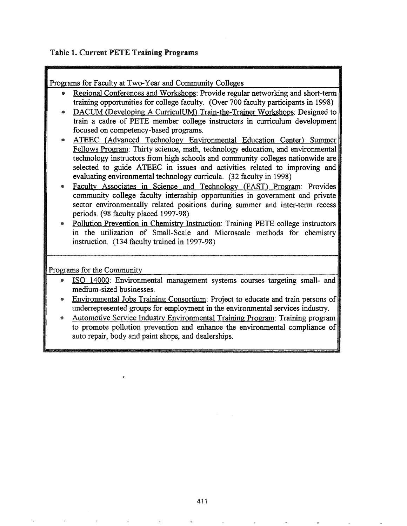# Table 1. Current PETE Training Programs

Programs for Faculty at Two-Year and Community Colleges

- Regional Conferences and Workshops: Provide regular networking and short-term training opportunities for college faculty. (Over 700 faculty participants in 1998)
- DACUM (Developing A CurriculUM) Train-the-Trainer Workshops: Designed to train a cadre of PETE member college instructors in curriculum development focused on'competency-based programs.
- ATEEC (Advanced Technology Environmental Education Center) Summer Fellows Program: Thirty science, math, technology education, and environmental technology instructors from high schools and community colleges nationwide are selected to guide ATEEC in issues and activities related to improving and evaluating environmental technology curricula. (32 faculty in 1998)
- Faculty Associates in Science and Technology (FAST) Program: Provides community college faculty internship opportunities in government and private sector environmentally related positions during summer and inter-term recess periods. (98 faculty placed 1997-98)
- Pollution Prevention in Chemistry Instruction: Training PETE college instructors in the utilization of Small-Scale and Microscale methods for chemistry instruction. (134 faculty trained in 1997-98)

Programs for the Community

- 411) ISO 14000: Environmental management systems courses targeting small- and medium-sized businesses.
- Environmental Jobs Training Consortium: Project to educate and train persons of underrepresented groups for employment in the environmental services industry.
- Automotive Service Industry Environmental Training Program: Training program to promote pollution prevention and enhance the environmental compliance of auto repair, body and paint shops, and dealerships.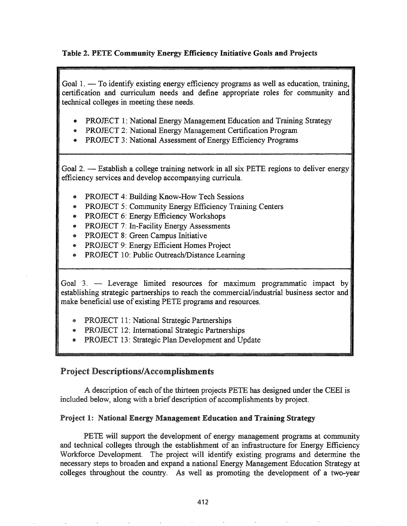# Table 2. PETE Community Energy Efficiency Initiative Goals and Projects

Goal  $1. -$  To identify existing energy efficiency programs as well as education, training, certification and curriculum needs and define appropriate roles for community and technical colleges in meeting these needs.

- PROJECT 1: National Energy Management Education and Training Strategy
- PROJECT 2: National Energy Management Certification Program
- PROJECT 3: National Assessment of Energy Efficiency Programs

Goal 2. - Establish a college training network in all six PETE regions to deliver energy efficiency services and develop accompanying curricula.

- PROJECT 4: Building Know-How Tech Sessions
- PROJECT 5: Community Energy Efficiency Training Centers
- PROJECT 6: Energy Efficiency Workshops
- PROJECT 7: In-Facility Energy Assessments
- 4» PROJECT 8: Green Campus Initiative
- PROJECT 9: Energy Efficient Homes Project
- PROJECT 10: Public Outreach/Distance Learning

Goal  $3.$  — Leverage limited resources for maximum programmatic impact by establishing strategic partnerships to reach the commercial/industrial business sector and make beneficial use of existing PETE programs and resources.

- **PROJECT 11: National Strategic Partnerships**
- PROJECT 12: International Strategic Partnerships
- PROJECT 13: Strategic Plan Development and Update

# Project Descriptions/Accomplishments

A description of each of the thirteen projects PETE has designed under the CEEI is included below, along with a brief description of accomplishments by project.

# Project 1: National Energy Management Education and Training Strategy

PETE will support the development of energy management programs at community and technical colleges through the establishment of an infrastructure for Energy Efficiency Workforce Development. The project will identify existing programs and determine the necessary steps to broaden and expand a national Energy Management Education Strategy at colleges throughout the country. As well as promoting the development of a two-year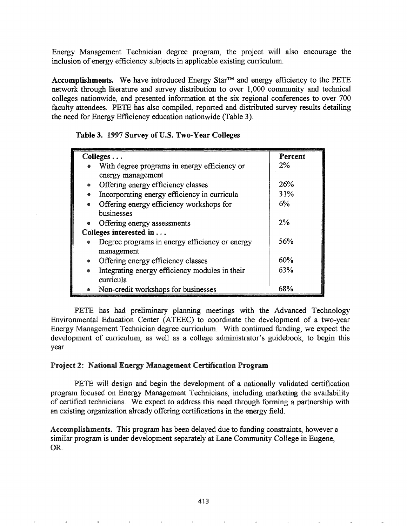Energy Management Technician degree program, the project will also encourage the inclusion of energy efficiency subjects in applicable existing curriculum.

Accomplishments. We have introduced Energy Star™ and energy efficiency to the PETE network through literature and survey distribution to over 1,000 community and technical colleges nationwide, and presented information at the six regional conferences to over 700 faculty attendees. PETE has also compiled, reported and distributed survey results detailing the need for Energy Efficiency education nationwide (Table 3).

|  |  |  |  |  |  |  | Table 3. 1997 Survey of U.S. Two-Year Colleges |
|--|--|--|--|--|--|--|------------------------------------------------|
|--|--|--|--|--|--|--|------------------------------------------------|

|                        | Colleges                                       | Percent |
|------------------------|------------------------------------------------|---------|
|                        | With degree programs in energy efficiency or   | $2\%$   |
|                        | energy management                              |         |
|                        | Offering energy efficiency classes             | 26%     |
|                        | Incorporating energy efficiency in curricula   | 31%     |
| ۰                      | Offering energy efficiency workshops for       | 6%      |
|                        | businesses                                     |         |
| ۰                      | Offering energy assessments                    | $2\%$   |
| Colleges interested in |                                                |         |
| ◈                      | Degree programs in energy efficiency or energy | 56%     |
|                        | management                                     |         |
|                        | Offering energy efficiency classes             | 60%     |
| ۰                      | Integrating energy efficiency modules in their | 63%     |
|                        | curricula                                      |         |
|                        | Non-credit workshops for businesses            | 68%     |

PETE has had preliminary planning meetings with the Advanced Technology Environmental Education Center (ATEEC) to coordinate the development of a two-year Energy Management Technician degree curriculum. With continued funding, we expect the development of curriculum, as well as a college administrator's guidebook, to begin this year.

#### Project 2: National Energy Management Certification Program

PETE will design and begin the development of a nationally validated certification program focused on Energy Management Technicians, including marketing the availability of certified technicians. We expect to address this need through forming a partnership with an existing organization already offering certifications in the energy field.

Accomplishments. This program has been delayed due to funding constraints, however a similar program is under development separately at Lane Community College in Eugene, OR.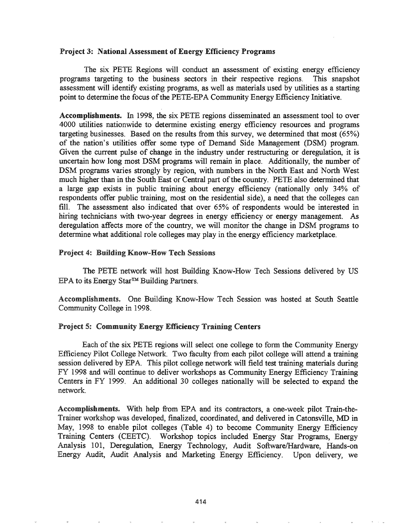#### Project 3: National Assessment of Energy Efficiency Programs

The six PETE Regions will conduct an assessment of existing energy efficiency programs targeting to the business sectors in their respective regions. This snapshot assessment will identify existing programs, as well as materials used by utilities as a starting point to determine the focus of the PETE-EPA Community Energy Efficiency Initiative.

Accomplishments. In 1998, the six PETE regions disseminated an assessment tool to over 4000 utilities nationwide to determine existing energy efficiency resources and programs targeting businesses. Based on the results from this survey, we determined that most (65%) of the nation's utilities offer some type of Demand Side Management (DSM) program. Given the current pulse of change in the industry under restructuring or deregulation, it is uncertain how long most DSM programs will remain in place. Additionally, the number of DSM programs varies strongly by region, with numbers in the North East and North West much higher than in the South East or Central part of the country. PETE also determined that a large gap exists in public training about energy efficiency (nationally only 34% of respondents offer public training, most on the residential side), a need that the colleges can fill. The assessment also indicated that over 65% of respondents would be interested in hiring technicians with two-year degrees in energy efficiency or energy management. As deregulation affects more of the country, we will monitor the change in DSM programs to determine what additional role colleges may play in the energy efficiency marketplace.

#### Project 4: Building Know-How Tech Sessions

The PETE network will host Building Know-How Tech Sessions delivered by US EPA to its Energy Star™ Building Partners.

Accomplishments. One Building Know-How Tech Session was hosted at South Seattle Community College in 1998.

## Project 5: Community Energy Efficiency Training Centers

Each of the six PETE regions will select one college to form the Community Energy Efficiency Pilot College Network. Two faculty from each pilot college will attend a training session delivered by EPA. This pilot college network will field test training materials during FY 1998 and will continue to deliver workshops as Community Energy Efficiency Training Centers in FY 1999. An additional 30 colleges nationally will be selected to expand the network.

Accomplishments. With help from EPA and its contractors, a one-week pilot Train-the-Trainer workshop was developed, finalized, coordinated, and delivered in Catonsville, MD in May, 1998 to enable pilot colleges (Table 4) to become Community Energy Efficiency Training Centers (CEETC). Workshop topics included Energy Star Programs, Energy Analysis 101, Deregulation, Energy Technology, Audit Software/Hardware, Hands-on Energy Audit, Audit Analysis and Marketing Energy Efficiency. Upon delivery, we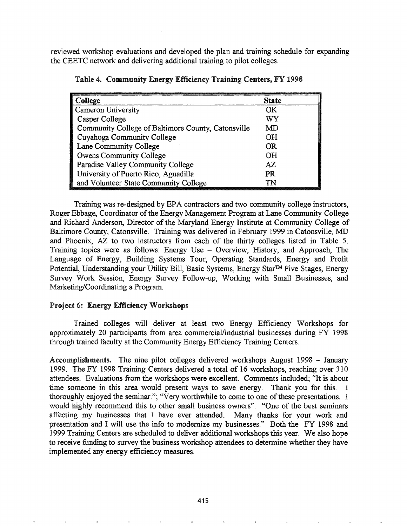reviewed workshop evaluations and developed the plan and training schedule for expanding the CEETC network and delivering additional training to pilot colleges.

| College                                            | <b>State</b> |
|----------------------------------------------------|--------------|
| Cameron University                                 | OK           |
| Casper College                                     | WY           |
| Community College of Baltimore County, Catonsville | MD           |
| Cuyahoga Community College                         | <b>OH</b>    |
| Lane Community College                             | <b>OR</b>    |
| <b>Owens Community College</b>                     | <b>OH</b>    |
| Paradise Valley Community College                  | AZ           |
| University of Puerto Rico, Aguadilla               | PR           |
| and Volunteer State Community College              | TN           |

Table 4. Community Energy Efficiency Training Centers, FY 1998

Training was re-designed by EPA contractors and two community college instructors, Roger Ebbage, Coordinator of the Energy Management Program at Lane Community College and Richard Anderson, Director of the Maryland Energy Institute at Community College of Baltimore County, Catonsville. Training was delivered in February 1999 in Catonsville, MD and Phoenix, AZ to two instructors from each of the thirty colleges listed in Table 5. Training topics were as follows: Energy Use - Overview, History, and Approach, The Language of Energy, Building Systems Tour, Operating Standards, Energy and Profit Potential, Understanding your Utility Bill, Basic Systems, Energy Star<sup>™</sup> Five Stages, Energy Survey Work Session, Energy Survey Follow-up, Working with Small Businesses, and Marketing/Coordinating a Program.

#### Project 6: Energy Efficiency Workshops

Trained colleges will deliver at least two Energy Efficiency Workshops for approximately 20 participants from area commercial/industrial businesses during FY 1998 through trained faculty at the Community Energy Efficiency Training Centers.

Accomplishments. The nine pilot colleges delivered workshops August 1998 - January 1999. The FY 1998 Training Centers delivered a total of 16 workshops, reaching over 310 attendees. Evaluations from the workshops were excellent. Comments included; "It is about time someone in this area would present ways to save energy. Thank you for this. I thoroughly enjoyed the seminar."; "Very worthwhile to come to one of these presentations. I would highly recommend this to other small business owners". "One of the best seminars affecting my businesses that I have ever attended. Many thanks for your work and presentation and I will use the info to modernize my businesses." Both the FY 1998 and 1999 Training Centers are scheduled to deliver additional workshops this year. We also hope to receive funding to survey the business workshop attendees to determine whether they have implemented any energy efficiency measures.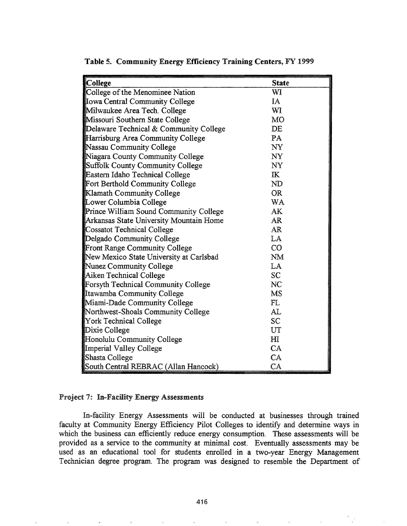| College                                 | <b>State</b>   |
|-----------------------------------------|----------------|
| College of the Menominee Nation         | WI             |
| <b>Ilowa Central Community College</b>  | IA             |
| Milwaukee Area Tech. College            | WI             |
| Missouri Southern State College         | <b>MO</b>      |
| Delaware Technical & Community College  | DE             |
| Harrisburg Area Community College       | PA             |
| Nassau Community College                | NY             |
| Niagara County Community College        | NY             |
| Suffolk County Community College        | NY             |
| Eastern Idaho Technical College         | $\mathbf K$    |
| Fort Berthold Community College         | ND             |
| Klamath Community College               | <b>OR</b>      |
| Lower Columbia College                  | WA             |
| Prince William Sound Community College  | AK             |
| Arkansas State University Mountain Home | AR             |
| Cossatot Technical College              | <b>AR</b>      |
| Delgado Community College               | LA             |
| Front Range Community College           | CO             |
| New Mexico State University at Carlsbad | <b>NM</b>      |
| Nunez Community College                 | LA             |
| Aiken Technical College                 | <b>SC</b>      |
| Forsyth Technical Community College     | NC             |
| Itawamba Community College              | MS             |
| Miami-Dade Community College            | FL             |
| Northwest-Shoals Community College      | AL             |
| York Technical College                  | <b>SC</b>      |
| Dixie College                           | UT             |
| Honolulu Community College              | H <sub>I</sub> |
| Imperial Valley College                 | CA             |
| Shasta College                          | CA             |
| South Central REBRAC (Allan Hancock)    | CA             |

Table 5. Community Energy Efficiency Training Centers, FY 1999

#### Project 7: In-Facility Energy Assessments

In-facility Energy Assessments will be conducted at businesses through trained faculty at Community Energy Efficiency Pilot Colleges to identify and determine ways in which the business can efficiently reduce energy consumption. These assessments will be provided as a service to the community at minimal cost. Eventually assessments may be used as an educational tool for students enrolled in a two-year Energy Management Technician degree program. The program was designed to resemble the Department of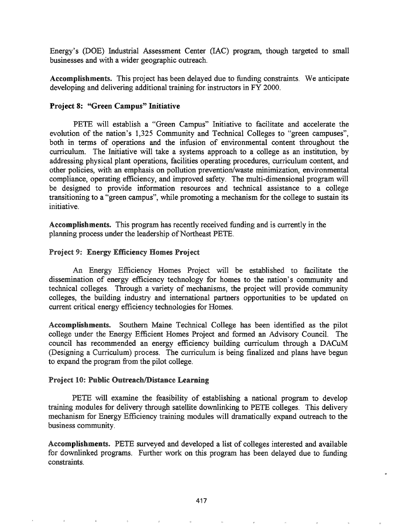Energy's (DOE) Industrial Assessment Center (lAC) program, though targeted to small businesses and with a wider geographic outreach.

Accomplishments. This project has been delayed due to funding constraints. We anticipate developing and delivering additional training for instructors in FY 2000.

## Project 8: "Green Campus" Initiative

PETE will establish a "Green Campus" Initiative to facilitate and accelerate the evolution of the nation's 1,325 Community and Technical Colleges to "green campuses", both in terms of operations and the infusion of environmental content throughout the curriculum. The Initiative will take a systems approach to a college as an institution, by addressing physical plant operations, facilities operating procedures, curriculum content, and other policies, with an emphasis on pollution prevention/waste minimization, environmental compliance, operating efficiency, and improved safety. The multi-dimensional program will be designed to provide information resources and technical assistance to a college transitioning to a "green campus", while promoting a mechanism for the college to sustain its initiative.

Accomplishments. This program has recently received funding and is currently in the planning process under the leadership of Northeast PETE.

#### Project 9: Energy Efficiency Homes Project

An Energy Efficiency Homes Project will be established to facilitate the dissemination of energy efficiency technology for homes to the nation's community and technical colleges. Through a variety of mechanisms, the project will provide community colleges, the building industry and international partners opportunities to be updated on current critical energy efficiency technologies for Homes.

Accomplishments. Southern Maine Technical College has been identified as the pilot college under the Energy Efficient Homes Project and formed an Advisory Council. The council has recommended an energy efficiency building curriculum through a DACuM (Designing a Curriculum) process. The cuniculum is being finalized and plans have begun to expand the program from the pilot college.

## Project 10: Public Outreach/Distance Learning

PETE will examine the feasibility of establishing a national program to develop training modules for delivery through satellite downlinking to PETE colleges. This delivery mechanism for Energy Efficiency training modules will dramatically expand outreach to the business community.

Accomplishments. PETE surveyed and developed a list of colleges interested and available for downlinked programs. Further work on this program has been delayed due to funding constraints.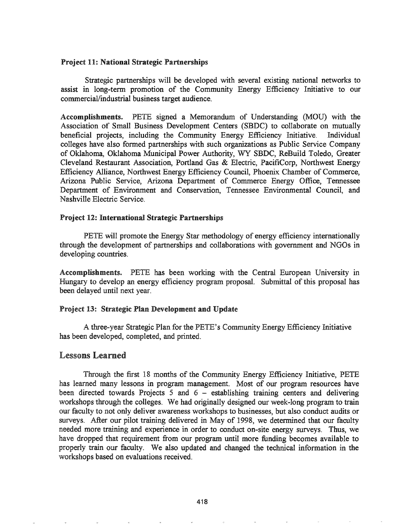#### Project 11: National Strategic Partnerships

Strategic partnerships will be developed with several existing national networks to assist in long-term promotion of the Community Energy Efficiency Initiative to our commercial/industrial business target audience.

Accomplishments. PETE signed a Memorandum of Understanding (MOD) with the Association of Small Business Development Centers (SBDC) to collaborate on mutually beneficial projects, including the Community Energy Efficiency Initiative. Individual colleges have also formed partnerships with such organizations as Public Service Company of Oklahoma, Oklahoma Municipal Power Authority, WY SBDC, ReBuild Toledo, Greater Cleveland Restaurant Association, Portland Gas & Electric, PacifiCorp, Northwest Energy Efficiency Alliance, Northwest Energy Efficiency Council, Phoenix Chamber of Commerce, Arizona Public Service, Arizona Department of Commerce Energy Office, Tennessee Department of Environment and Conservation, Tennessee Environmental Council, and Nashville Electric Service.

#### Project 12: International Strategic Partnerships

PETE will promote the Energy Star methodology of energy efficiency internationally through the development of partnerships and collaborations with government and NGOs in developing countries.

Accomplishments. PETE has been working with the Central European University in Hungary to develop an energy efficiency program proposal. Submittal of this proposal has been delayed until next year.

#### Project 13: Strategic Plan Development and Update

A three-year Strategic Plan for the PETE's Community Energy Efficiency Initiative has been developed, completed, and printed.

# **Lessons Learned**

Through the frrst 18 months of the Community Energy Efficiency Initiative, PETE has learned many lessons in program management. Most of our program resources have been directed towards Projects  $5$  and  $6 -$  establishing training centers and delivering workshops through the colleges. We had originally designed our week-long program to train our faculty to not only deliver awareness workshops to businesses, but also conduct audits or surveys. After our pilot training delivered in May of 1998, we determined that our faculty needed more training and experience in order to conduct on-site energy surveys. Thus, we have dropped that requirement from our program until more funding becomes available to properly train our faculty. We also updated and changed the technical information in the workshops based on evaluations received.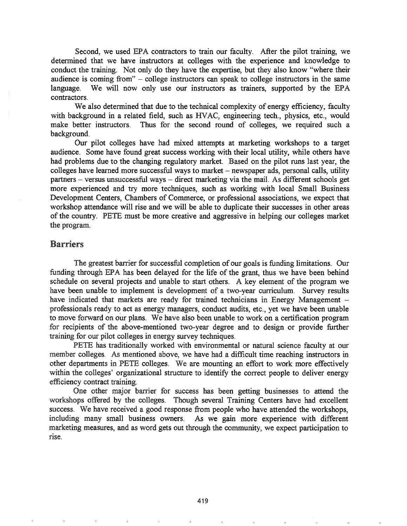Second, we used EPA contractors to train our faculty. After the pilot training, we determined that we have instructors at colleges with the experience and knowledge to conduct the training. Not only do they have the expertise, but they also know "where their audience is coming from" - college instructors can speak to college instructors in the same language. We will now only use our instructors as trainers, supported by the EPA contractors.

We also determined that due to the technical complexity of energy efficiency, faculty with background in a related field, such as HVAC, engineering tech., physics, etc., would make better instructors. Thus for the second round of colleges, we required such a background.

Our pilot colleges have had mixed attempts at marketing workshops to a target audience. Some have found great success working with their local utility, while others have had problems due to the changing regulatory market. Based on the pilot runs last year, the colleges have learned more successful ways to market  $-$  newspaper ads, personal calls, utility partners – versus unsuccessful ways – direct marketing via the mail. As different schools get more experienced and try more techniques, such as working with local Small Business Development Centers, Chambers of Commerce, or professional associations, we expect that workshop attendance will rise and we will be able to duplicate their successes in other areas of the country. PETE must be more creative and aggressive in helping our colleges market the program.

## Barriers

The greatest barrier for successful completion of our goals is funding limitations. Our funding through EPA has been delayed for the life of the grant, thus we have been behind schedule on several projects and unable to start others. A key element of the program we have been unable to implement is development of a two-year curriculum. Survey results have indicated that markets are ready for trained technicians in Energy Management – professionals ready to act as energy managers, conduct audits, etc., yet we have been unable to move forward on our plans. We have also been unable to work on a certification program for recipients of the above-mentioned two-year degree and to design or provide further training for our pilot colleges in energy survey techniques.

PETE has traditionally worked with environmental or natural science faculty at our member colleges. As mentioned above, we have had a difficult time reaching instructors in other departments in PETE colleges. We are mounting an effort to work more effectively within the colleges' organizational structure to identify the correct people to deliver energy efficiency contract training.

One other major barrier for success has been getting businesses to attend the workshops offered by the colleges. Though several Training Centers have had excellent success. We have received a good response from people who have attended the workshops, including many small business owners. As we gain more experience with different marketing measures, and as word gets out through the community, we expect participation to rise.